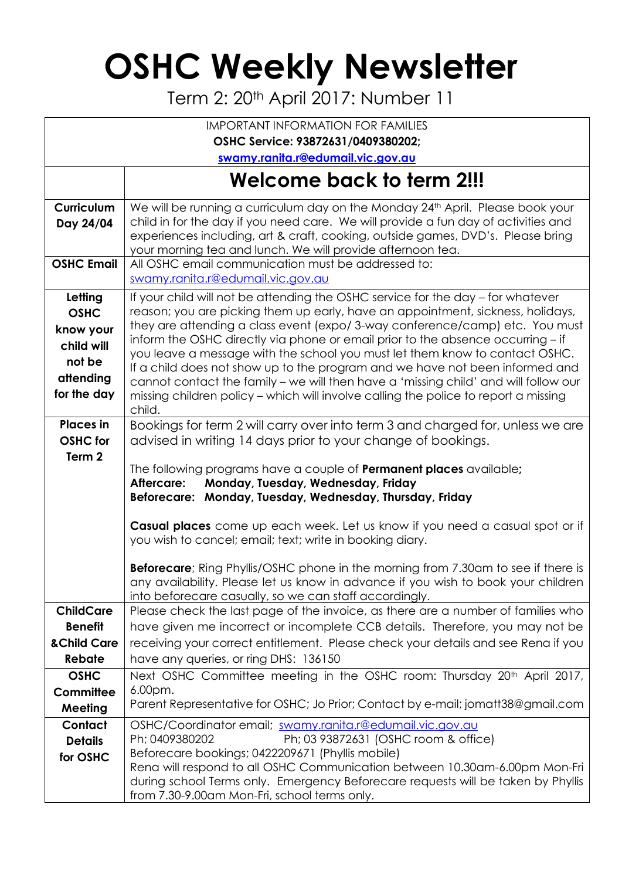## **OSHC Weekly Newsletter**

Term 2: 20th April 2017: Number 11

|                                                                                         | <b>IMPORTANT INFORMATION FOR FAMILIES</b>                                                                                                                                                                                                                                                                                                                                                                                                                                                                                                                                                                                                                                                   |  |  |  |  |  |
|-----------------------------------------------------------------------------------------|---------------------------------------------------------------------------------------------------------------------------------------------------------------------------------------------------------------------------------------------------------------------------------------------------------------------------------------------------------------------------------------------------------------------------------------------------------------------------------------------------------------------------------------------------------------------------------------------------------------------------------------------------------------------------------------------|--|--|--|--|--|
| OSHC Service: 93872631/0409380202;                                                      |                                                                                                                                                                                                                                                                                                                                                                                                                                                                                                                                                                                                                                                                                             |  |  |  |  |  |
| swamy.ranita.r@edumail.vic.gov.au                                                       |                                                                                                                                                                                                                                                                                                                                                                                                                                                                                                                                                                                                                                                                                             |  |  |  |  |  |
|                                                                                         | Welcome back to term 2!!!                                                                                                                                                                                                                                                                                                                                                                                                                                                                                                                                                                                                                                                                   |  |  |  |  |  |
| Curriculum<br>Day 24/04                                                                 | We will be running a curriculum day on the Monday 24 <sup>th</sup> April. Please book your<br>child in for the day if you need care. We will provide a fun day of activities and<br>experiences including, art & craft, cooking, outside games, DVD's. Please bring<br>your morning tea and lunch. We will provide afternoon tea.                                                                                                                                                                                                                                                                                                                                                           |  |  |  |  |  |
| <b>OSHC Email</b>                                                                       | All OSHC email communication must be addressed to:<br>swamy.ranita.r@edumail.vic.gov.au                                                                                                                                                                                                                                                                                                                                                                                                                                                                                                                                                                                                     |  |  |  |  |  |
| Letting<br><b>OSHC</b><br>know your<br>child will<br>not be<br>attending<br>for the day | If your child will not be attending the OSHC service for the day – for whatever<br>reason; you are picking them up early, have an appointment, sickness, holidays,<br>they are attending a class event (expo/3-way conference/camp) etc. You must<br>inform the OSHC directly via phone or email prior to the absence occurring - if<br>you leave a message with the school you must let them know to contact OSHC.<br>If a child does not show up to the program and we have not been informed and<br>cannot contact the family - we will then have a 'missing child' and will follow our<br>missing children policy - which will involve calling the police to report a missing<br>child. |  |  |  |  |  |
| <b>Places</b> in<br><b>OSHC</b> for<br>Term 2                                           | Bookings for term 2 will carry over into term 3 and charged for, unless we are<br>advised in writing 14 days prior to your change of bookings.<br>The following programs have a couple of <b>Permanent places</b> available;<br>Aftercare:<br>Monday, Tuesday, Wednesday, Friday<br>Beforecare: Monday, Tuesday, Wednesday, Thursday, Friday                                                                                                                                                                                                                                                                                                                                                |  |  |  |  |  |
|                                                                                         | Casual places come up each week. Let us know if you need a casual spot or if<br>you wish to cancel; email; text; write in booking diary.<br><b>Beforecare</b> ; Ring Phyllis/OSHC phone in the morning from 7.30am to see if there is<br>any availability. Please let us know in advance if you wish to book your children<br>into beforecare casually, so we can staff accordingly.                                                                                                                                                                                                                                                                                                        |  |  |  |  |  |
| <b>ChildCare</b><br><b>Benefit</b><br>& Child Care<br>Rebate                            | Please check the last page of the invoice, as there are a number of families who<br>have given me incorrect or incomplete CCB details. Therefore, you may not be<br>receiving your correct entitlement. Please check your details and see Rena if you<br>have any queries, or ring DHS: 136150                                                                                                                                                                                                                                                                                                                                                                                              |  |  |  |  |  |
| <b>OSHC</b><br>Committee<br>Meeting                                                     | Next OSHC Committee meeting in the OSHC room: Thursday 20 <sup>th</sup> April 2017,<br>6.00pm.<br>Parent Representative for OSHC; Jo Prior; Contact by e-mail; jomatt38@gmail.com                                                                                                                                                                                                                                                                                                                                                                                                                                                                                                           |  |  |  |  |  |
| Contact<br><b>Details</b><br>for OSHC                                                   | OSHC/Coordinator email; swamy.ranita.r@edumail.vic.gov.au<br>Ph; 0409380202<br>Ph; 03 93872631 (OSHC room & office)<br>Beforecare bookings; 0422209671 (Phyllis mobile)<br>Rena will respond to all OSHC Communication between 10.30am-6.00pm Mon-Fri<br>during school Terms only. Emergency Beforecare requests will be taken by Phyllis<br>from 7.30-9.00am Mon-Fri, school terms only.                                                                                                                                                                                                                                                                                                   |  |  |  |  |  |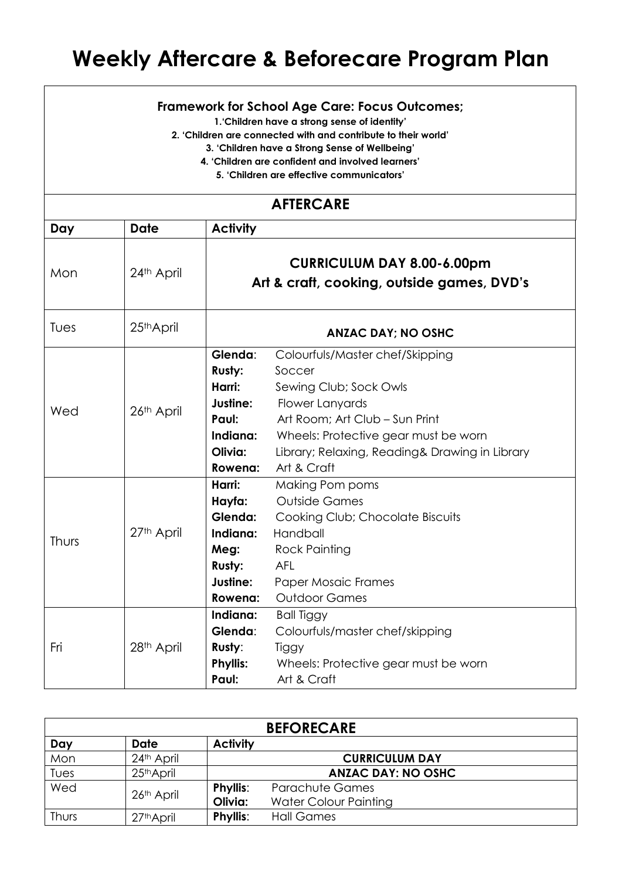## **Weekly Aftercare & Beforecare Program Plan**

## **Framework for School Age Care: Focus Outcomes;**

**1.'Children have a strong sense of identity'**

**2. 'Children are connected with and contribute to their world'**

**3. 'Children have a Strong Sense of Wellbeing'**

**4. 'Children are confident and involved learners'**

**5. 'Children are effective communicators'**

| <b>AFTERCARE</b> |             |                                                                                                                                                                                                                                                                                                                         |  |  |  |  |
|------------------|-------------|-------------------------------------------------------------------------------------------------------------------------------------------------------------------------------------------------------------------------------------------------------------------------------------------------------------------------|--|--|--|--|
| <b>Day</b>       | <b>Date</b> | <b>Activity</b>                                                                                                                                                                                                                                                                                                         |  |  |  |  |
| Mon              | 24th April  | <b>CURRICULUM DAY 8.00-6.00pm</b><br>Art & craft, cooking, outside games, DVD's                                                                                                                                                                                                                                         |  |  |  |  |
| Tues             | 25th April  | <b>ANZAC DAY; NO OSHC</b>                                                                                                                                                                                                                                                                                               |  |  |  |  |
| Wed              | 26th April  | Glenda:<br>Colourfuls/Master chef/Skipping<br>Rusty:<br>Soccer<br>Harri:<br>Sewing Club; Sock Owls<br>Justine:<br>Flower Lanyards<br>Art Room; Art Club - Sun Print<br>Paul:<br>Indiana:<br>Wheels: Protective gear must be worn<br>Olivia:<br>Library; Relaxing, Reading& Drawing in Library<br>Art & Craft<br>Rowena: |  |  |  |  |
| Thurs            | 27th April  | Harri:<br>Making Pom poms<br><b>Outside Games</b><br>Hayfa:<br>Glenda:<br>Cooking Club; Chocolate Biscuits<br>Handball<br>Indiana:<br><b>Rock Painting</b><br>Meg:<br><b>Rusty:</b><br><b>AFL</b><br>Justine:<br><b>Paper Mosaic Frames</b><br><b>Outdoor Games</b><br>Rowena:                                          |  |  |  |  |
| Fri              | 28th April  | Indiana:<br><b>Ball Tiggy</b><br>Glenda:<br>Colourfuls/master chef/skipping<br>Rusty:<br>Tiggy<br><b>Phyllis:</b><br>Wheels: Protective gear must be worn<br>Paul:<br>Art & Craft                                                                                                                                       |  |  |  |  |

| <b>BEFORECARE</b> |                        |                 |                           |  |  |  |
|-------------------|------------------------|-----------------|---------------------------|--|--|--|
| Day               | <b>Date</b>            | <b>Activity</b> |                           |  |  |  |
| Mon               | 24 <sup>th</sup> April |                 | <b>CURRICULUM DAY</b>     |  |  |  |
| Tues              | 25th April             |                 | <b>ANZAC DAY: NO OSHC</b> |  |  |  |
| Wed               | 26th April             | <b>Phyllis:</b> | <b>Parachute Games</b>    |  |  |  |
|                   |                        | Olivia:         | Water Colour Painting     |  |  |  |
| Thurs             | 27 <sup>th</sup> April | <b>Phyllis:</b> | <b>Hall Games</b>         |  |  |  |